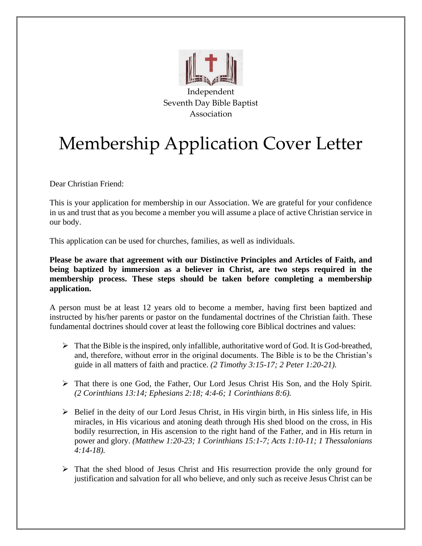

## Membership Application Cover Letter

Dear Christian Friend:

This is your application for membership in our Association. We are grateful for your confidence in us and trust that as you become a member you will assume a place of active Christian service in our body.

This application can be used for churches, families, as well as individuals.

**Please be aware that agreement with our Distinctive Principles and Articles of Faith, and being baptized by immersion as a believer in Christ, are two steps required in the membership process. These steps should be taken before completing a membership application.**

A person must be at least 12 years old to become a member, having first been baptized and instructed by his/her parents or pastor on the fundamental doctrines of the Christian faith. These fundamental doctrines should cover at least the following core Biblical doctrines and values:

- $\triangleright$  That the Bible is the inspired, only infallible, authoritative word of God. It is God-breathed, and, therefore, without error in the original documents. The Bible is to be the Christian's guide in all matters of faith and practice. *(2 Timothy 3:15-17; 2 Peter 1:20-21).*
- ➢ That there is one God, the Father, Our Lord Jesus Christ His Son, and the Holy Spirit. *(2 Corinthians 13:14; Ephesians 2:18; 4:4-6; 1 Corinthians 8:6).*
- $\triangleright$  Belief in the deity of our Lord Jesus Christ, in His virgin birth, in His sinless life, in His miracles, in His vicarious and atoning death through His shed blood on the cross, in His bodily resurrection, in His ascension to the right hand of the Father, and in His return in power and glory. *(Matthew 1:20-23; 1 Corinthians 15:1-7; Acts 1:10-11; 1 Thessalonians 4:14-18).*
- ➢ That the shed blood of Jesus Christ and His resurrection provide the only ground for justification and salvation for all who believe, and only such as receive Jesus Christ can be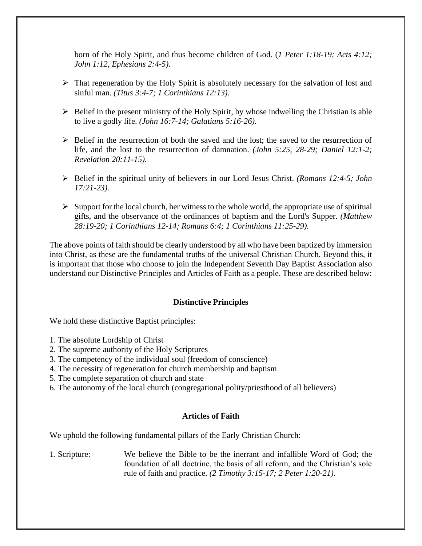born of the Holy Spirit, and thus become children of God. (*1 Peter 1:18-19; Acts 4:12; John 1:12, Ephesians 2:4-5).*

- ➢ That regeneration by the Holy Spirit is absolutely necessary for the salvation of lost and sinful man. *(Titus 3:4-7; 1 Corinthians 12:13).*
- $\triangleright$  Belief in the present ministry of the Holy Spirit, by whose indwelling the Christian is able to live a godly life. *(John 16:7-14; Galatians 5:16-26).*
- $\triangleright$  Belief in the resurrection of both the saved and the lost; the saved to the resurrection of life, and the lost to the resurrection of damnation. *(John 5:25, 28-29; Daniel 12:1-2; Revelation 20:11-15).*
- ➢ Belief in the spiritual unity of believers in our Lord Jesus Christ. *(Romans 12:4-5; John 17:21-23).*
- $\triangleright$  Support for the local church, her witness to the whole world, the appropriate use of spiritual gifts, and the observance of the ordinances of baptism and the Lord's Supper. *(Matthew 28:19-20; 1 Corinthians 12-14; Romans 6:4; 1 Corinthians 11:25-29).*

The above points of faith should be clearly understood by all who have been baptized by immersion into Christ, as these are the fundamental truths of the universal Christian Church. Beyond this, it is important that those who choose to join the Independent Seventh Day Baptist Association also understand our Distinctive Principles and Articles of Faith as a people. These are described below:

## **Distinctive Principles**

We hold these distinctive Baptist principles:

- 1. The absolute Lordship of Christ
- 2. The supreme authority of the Holy Scriptures
- 3. The competency of the individual soul (freedom of conscience)
- 4. The necessity of regeneration for church membership and baptism
- 5. The complete separation of church and state
- 6. The autonomy of the local church (congregational polity/priesthood of all believers)

#### **Articles of Faith**

We uphold the following fundamental pillars of the Early Christian Church:

1. Scripture: We believe the Bible to be the inerrant and infallible Word of God; the foundation of all doctrine, the basis of all reform, and the Christian's sole rule of faith and practice. *(2 Timothy 3:15-17; 2 Peter 1:20-21).*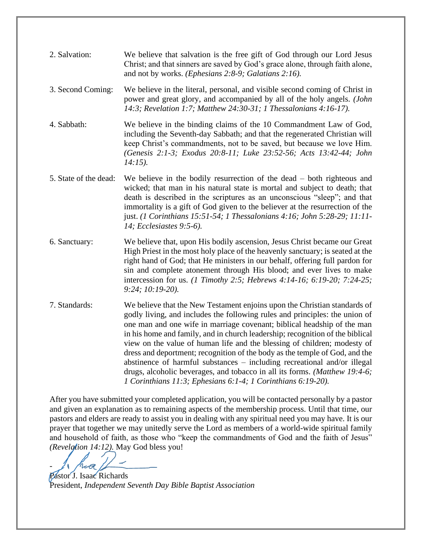| 2. Salvation:         | We believe that salvation is the free gift of God through our Lord Jesus<br>Christ; and that sinners are saved by God's grace alone, through faith alone,<br>and not by works. (Ephesians 2:8-9; Galatians 2:16).                                                                                                                                                                                                                                                               |
|-----------------------|---------------------------------------------------------------------------------------------------------------------------------------------------------------------------------------------------------------------------------------------------------------------------------------------------------------------------------------------------------------------------------------------------------------------------------------------------------------------------------|
| 3. Second Coming:     | We believe in the literal, personal, and visible second coming of Christ in<br>power and great glory, and accompanied by all of the holy angels. (John<br>14:3; Revelation 1:7; Matthew 24:30-31; 1 Thessalonians 4:16-17).                                                                                                                                                                                                                                                     |
| 4. Sabbath:           | We believe in the binding claims of the 10 Commandment Law of God,<br>including the Seventh-day Sabbath; and that the regenerated Christian will<br>keep Christ's commandments, not to be saved, but because we love Him.<br>(Genesis 2:1-3; Exodus 20:8-11; Luke 23:52-56; Acts 13:42-44; John<br>$14:15$ ).                                                                                                                                                                   |
| 5. State of the dead: | We believe in the bodily resurrection of the dead $-$ both righteous and<br>wicked; that man in his natural state is mortal and subject to death; that<br>death is described in the scriptures as an unconscious "sleep"; and that<br>immortality is a gift of God given to the believer at the resurrection of the<br>just. (1 Corinthians 15:51-54; 1 Thessalonians 4:16; John 5:28-29; 11:11-<br>14; Ecclesiastes 9:5-6).                                                    |
| 6. Sanctuary:         | We believe that, upon His bodily ascension, Jesus Christ became our Great<br>High Priest in the most holy place of the heavenly sanctuary; is seated at the<br>right hand of God; that He ministers in our behalf, offering full pardon for<br>sin and complete atonement through His blood; and ever lives to make<br>intercession for us. (1 Timothy 2:5; Hebrews 4:14-16; 6:19-20; 7:24-25;<br>$9:24; 10:19-20$ ).                                                           |
| 7. Standards:         | We believe that the New Testament enjoins upon the Christian standards of<br>godly living, and includes the following rules and principles: the union of<br>one man and one wife in marriage covenant; biblical headship of the man<br>in his home and family, and in church leadership; recognition of the biblical<br>view on the value of human life and the blessing of children; modesty of<br>dress and deportment; recognition of the body as the temple of God, and the |

After you have submitted your completed application, you will be contacted personally by a pastor and given an explanation as to remaining aspects of the membership process. Until that time, our pastors and elders are ready to assist you in dealing with any spiritual need you may have. It is our prayer that together we may unitedly serve the Lord as members of a world-wide spiritual family and household of faith, as those who "keep the commandments of God and the faith of Jesus" *(Revelation 14:12).* May God bless you!

*1 Corinthians 11:3; Ephesians 6:1-4; 1 Corinthians 6:19-20).*

abstinence of harmful substances – including recreational and/or illegal drugs, alcoholic beverages, and tobacco in all its forms. *(Matthew 19:4-6;* 

-

Pastor J. Isaac Richards President, *Independent Seventh Day Bible Baptist Association*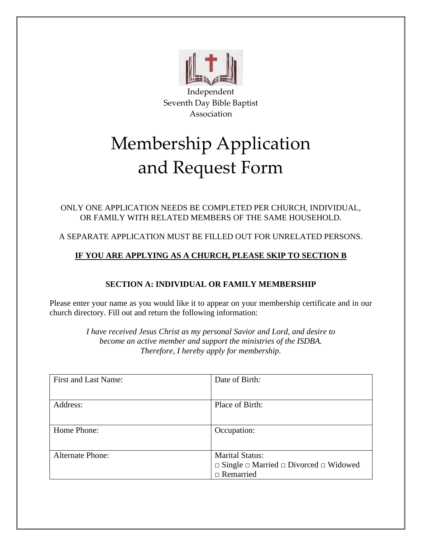

# Membership Application and Request Form

## ONLY ONE APPLICATION NEEDS BE COMPLETED PER CHURCH, INDIVIDUAL, OR FAMILY WITH RELATED MEMBERS OF THE SAME HOUSEHOLD.

## A SEPARATE APPLICATION MUST BE FILLED OUT FOR UNRELATED PERSONS.

## **IF YOU ARE APPLYING AS A CHURCH, PLEASE SKIP TO SECTION B**

## **SECTION A: INDIVIDUAL OR FAMILY MEMBERSHIP**

Please enter your name as you would like it to appear on your membership certificate and in our church directory. Fill out and return the following information:

> *I have received Jesus Christ as my personal Savior and Lord, and desire to become an active member and support the ministries of the ISDBA. Therefore, I hereby apply for membership.*

| First and Last Name:    | Date of Birth:                                              |
|-------------------------|-------------------------------------------------------------|
|                         |                                                             |
|                         |                                                             |
|                         |                                                             |
| Address:                | Place of Birth:                                             |
|                         |                                                             |
|                         |                                                             |
|                         |                                                             |
| Home Phone:             | Occupation:                                                 |
|                         |                                                             |
|                         |                                                             |
|                         |                                                             |
| <b>Alternate Phone:</b> | <b>Marital Status:</b>                                      |
|                         |                                                             |
|                         | $\Box$ Single $\Box$ Married $\Box$ Divorced $\Box$ Widowed |
|                         | $\Box$ Remarried                                            |
|                         |                                                             |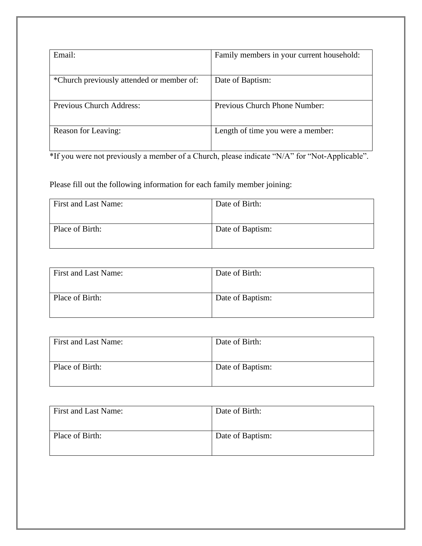| Email:                                    | Family members in your current household: |
|-------------------------------------------|-------------------------------------------|
| *Church previously attended or member of: | Date of Baptism:                          |
| <b>Previous Church Address:</b>           | <b>Previous Church Phone Number:</b>      |
| Reason for Leaving:                       | Length of time you were a member:         |

\*If you were not previously a member of a Church, please indicate "N/A" for "Not-Applicable".

Please fill out the following information for each family member joining:

| First and Last Name: | Date of Birth:   |
|----------------------|------------------|
| Place of Birth:      | Date of Baptism: |

| First and Last Name: | Date of Birth:   |
|----------------------|------------------|
| Place of Birth:      | Date of Baptism: |

| First and Last Name: | Date of Birth:   |
|----------------------|------------------|
| Place of Birth:      | Date of Baptism: |
|                      |                  |

| First and Last Name: | Date of Birth:   |
|----------------------|------------------|
| Place of Birth:      | Date of Baptism: |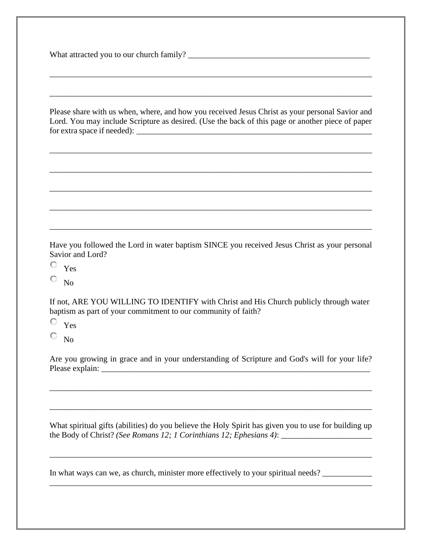What attracted you to our church family? \_\_\_\_\_\_\_\_\_\_\_\_\_\_\_\_\_\_\_\_\_\_\_\_\_\_\_\_\_\_\_\_\_\_\_\_\_\_\_\_\_\_\_\_

Please share with us when, where, and how you received Jesus Christ as your personal Savior and Lord. You may include Scripture as desired. (Use the back of this page or another piece of paper  $for extra space if needed):$ 

\_\_\_\_\_\_\_\_\_\_\_\_\_\_\_\_\_\_\_\_\_\_\_\_\_\_\_\_\_\_\_\_\_\_\_\_\_\_\_\_\_\_\_\_\_\_\_\_\_\_\_\_\_\_\_\_\_\_\_\_\_\_\_\_\_\_\_\_\_\_\_\_\_\_\_\_\_\_

\_\_\_\_\_\_\_\_\_\_\_\_\_\_\_\_\_\_\_\_\_\_\_\_\_\_\_\_\_\_\_\_\_\_\_\_\_\_\_\_\_\_\_\_\_\_\_\_\_\_\_\_\_\_\_\_\_\_\_\_\_\_\_\_\_\_\_\_\_\_\_\_\_\_\_\_\_\_

\_\_\_\_\_\_\_\_\_\_\_\_\_\_\_\_\_\_\_\_\_\_\_\_\_\_\_\_\_\_\_\_\_\_\_\_\_\_\_\_\_\_\_\_\_\_\_\_\_\_\_\_\_\_\_\_\_\_\_\_\_\_\_\_\_\_\_\_\_\_\_\_\_\_\_\_\_\_

\_\_\_\_\_\_\_\_\_\_\_\_\_\_\_\_\_\_\_\_\_\_\_\_\_\_\_\_\_\_\_\_\_\_\_\_\_\_\_\_\_\_\_\_\_\_\_\_\_\_\_\_\_\_\_\_\_\_\_\_\_\_\_\_\_\_\_\_\_\_\_\_\_\_\_\_\_\_

\_\_\_\_\_\_\_\_\_\_\_\_\_\_\_\_\_\_\_\_\_\_\_\_\_\_\_\_\_\_\_\_\_\_\_\_\_\_\_\_\_\_\_\_\_\_\_\_\_\_\_\_\_\_\_\_\_\_\_\_\_\_\_\_\_\_\_\_\_\_\_\_\_\_\_\_\_\_

\_\_\_\_\_\_\_\_\_\_\_\_\_\_\_\_\_\_\_\_\_\_\_\_\_\_\_\_\_\_\_\_\_\_\_\_\_\_\_\_\_\_\_\_\_\_\_\_\_\_\_\_\_\_\_\_\_\_\_\_\_\_\_\_\_\_\_\_\_\_\_\_\_\_\_\_\_\_

\_\_\_\_\_\_\_\_\_\_\_\_\_\_\_\_\_\_\_\_\_\_\_\_\_\_\_\_\_\_\_\_\_\_\_\_\_\_\_\_\_\_\_\_\_\_\_\_\_\_\_\_\_\_\_\_\_\_\_\_\_\_\_\_\_\_\_\_\_\_\_\_\_\_\_\_\_\_

Have you followed the Lord in water baptism SINCE you received Jesus Christ as your personal Savior and Lord?

О Yes

о  $N<sub>0</sub>$ 

If not, ARE YOU WILLING TO IDENTIFY with Christ and His Church publicly through water baptism as part of your commitment to our community of faith?

O Yes

0. No

Are you growing in grace and in your understanding of Scripture and God's will for your life? Please explain:

\_\_\_\_\_\_\_\_\_\_\_\_\_\_\_\_\_\_\_\_\_\_\_\_\_\_\_\_\_\_\_\_\_\_\_\_\_\_\_\_\_\_\_\_\_\_\_\_\_\_\_\_\_\_\_\_\_\_\_\_\_\_\_\_\_\_\_\_\_\_\_\_\_\_\_\_\_\_

\_\_\_\_\_\_\_\_\_\_\_\_\_\_\_\_\_\_\_\_\_\_\_\_\_\_\_\_\_\_\_\_\_\_\_\_\_\_\_\_\_\_\_\_\_\_\_\_\_\_\_\_\_\_\_\_\_\_\_\_\_\_\_\_\_\_\_\_\_\_\_\_\_\_\_\_\_\_

What spiritual gifts (abilities) do you believe the Holy Spirit has given you to use for building up the Body of Christ? *(See Romans 12; 1 Corinthians 12; Ephesians 4)*: \_\_\_\_\_\_\_\_\_\_\_\_\_\_\_\_\_\_\_\_\_\_

\_\_\_\_\_\_\_\_\_\_\_\_\_\_\_\_\_\_\_\_\_\_\_\_\_\_\_\_\_\_\_\_\_\_\_\_\_\_\_\_\_\_\_\_\_\_\_\_\_\_\_\_\_\_\_\_\_\_\_\_\_\_\_\_\_\_\_\_\_\_\_\_\_\_\_\_\_\_

\_\_\_\_\_\_\_\_\_\_\_\_\_\_\_\_\_\_\_\_\_\_\_\_\_\_\_\_\_\_\_\_\_\_\_\_\_\_\_\_\_\_\_\_\_\_\_\_\_\_\_\_\_\_\_\_\_\_\_\_\_\_\_\_\_\_\_\_\_\_\_\_\_\_\_\_\_\_

In what ways can we, as church, minister more effectively to your spiritual needs?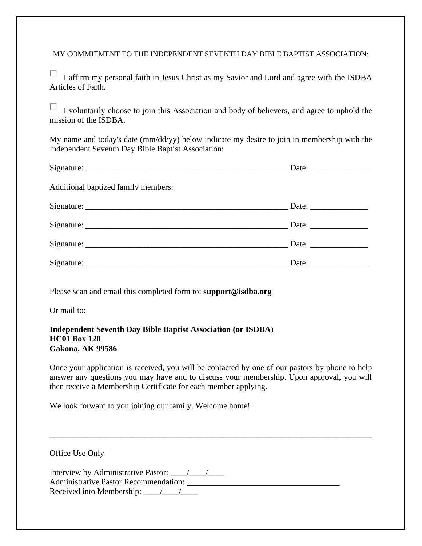MY COMMITMENT TO THE INDEPENDENT SEVENTH DAY BIBLE BAPTIST ASSOCIATION:

П I affirm my personal faith in Jesus Christ as my Savior and Lord and agree with the ISDBA Articles of Faith.

П. I voluntarily choose to join this Association and body of believers, and agree to uphold the mission of the ISDBA.

My name and today's date (mm/dd/yy) below indicate my desire to join in membership with the Independent Seventh Day Bible Baptist Association:

| Additional baptized family members: |  |
|-------------------------------------|--|
|                                     |  |
|                                     |  |
|                                     |  |
|                                     |  |

Please scan and email this completed form to: **support@isdba.org**

Or mail to:

#### **Independent Seventh Day Bible Baptist Association (or ISDBA) HC01 Box 120 Gakona, AK 99586**

Once your application is received, you will be contacted by one of our pastors by phone to help answer any questions you may have and to discuss your membership. Upon approval, you will then receive a Membership Certificate for each member applying.

We look forward to you joining our family. Welcome home!

| Office Use Only                              |  |
|----------------------------------------------|--|
| <b>Administrative Pastor Recommendation:</b> |  |

\_\_\_\_\_\_\_\_\_\_\_\_\_\_\_\_\_\_\_\_\_\_\_\_\_\_\_\_\_\_\_\_\_\_\_\_\_\_\_\_\_\_\_\_\_\_\_\_\_\_\_\_\_\_\_\_\_\_\_\_\_\_\_\_\_\_\_\_\_\_\_\_\_\_\_\_\_\_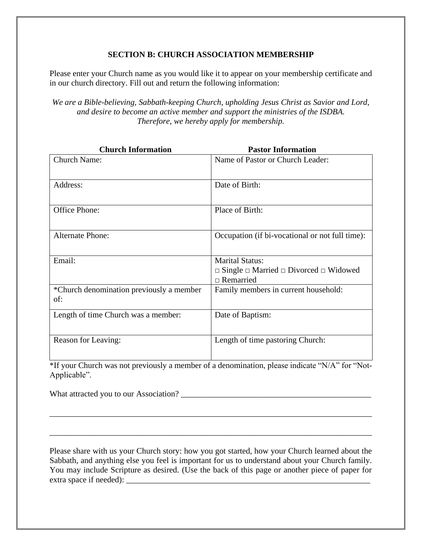## **SECTION B: CHURCH ASSOCIATION MEMBERSHIP**

Please enter your Church name as you would like it to appear on your membership certificate and in our church directory. Fill out and return the following information:

*We are a Bible-believing, Sabbath-keeping Church, upholding Jesus Christ as Savior and Lord, and desire to become an active member and support the ministries of the ISDBA. Therefore, we hereby apply for membership.*

| <b>Church Information</b>                       | <b>Pastor Information</b>                                   |
|-------------------------------------------------|-------------------------------------------------------------|
| <b>Church Name:</b>                             | Name of Pastor or Church Leader:                            |
| Address:                                        | Date of Birth:                                              |
| Office Phone:                                   | Place of Birth:                                             |
| <b>Alternate Phone:</b>                         | Occupation (if bi-vocational or not full time):             |
| Email:                                          | <b>Marital Status:</b>                                      |
|                                                 | $\Box$ Single $\Box$ Married $\Box$ Divorced $\Box$ Widowed |
|                                                 | $\Box$ Remarried                                            |
| *Church denomination previously a member<br>of: | Family members in current household:                        |
| Length of time Church was a member:             | Date of Baptism:                                            |
| Reason for Leaving:<br>ψTΓ                      | Length of time pastoring Church:                            |

\*If your Church was not previously a member of a denomination, please indicate "N/A" for "Not-Applicable".

\_\_\_\_\_\_\_\_\_\_\_\_\_\_\_\_\_\_\_\_\_\_\_\_\_\_\_\_\_\_\_\_\_\_\_\_\_\_\_\_\_\_\_\_\_\_\_\_\_\_\_\_\_\_\_\_\_\_\_\_\_\_\_\_\_\_\_\_\_\_\_\_\_\_\_\_\_\_

\_\_\_\_\_\_\_\_\_\_\_\_\_\_\_\_\_\_\_\_\_\_\_\_\_\_\_\_\_\_\_\_\_\_\_\_\_\_\_\_\_\_\_\_\_\_\_\_\_\_\_\_\_\_\_\_\_\_\_\_\_\_\_\_\_\_\_\_\_\_\_\_\_\_\_\_\_\_

What attracted you to our Association? \_\_\_\_\_\_\_\_\_\_\_\_\_\_\_\_\_\_\_\_\_\_\_\_\_\_\_\_\_\_\_\_\_\_\_\_\_\_\_\_\_\_\_\_\_\_

Please share with us your Church story: how you got started, how your Church learned about the Sabbath, and anything else you feel is important for us to understand about your Church family. You may include Scripture as desired. (Use the back of this page or another piece of paper for extra space if needed):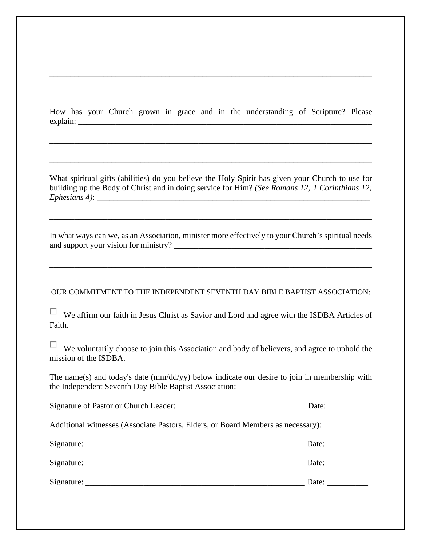How has your Church grown in grace and in the understanding of Scripture? Please  $explain:$ 

\_\_\_\_\_\_\_\_\_\_\_\_\_\_\_\_\_\_\_\_\_\_\_\_\_\_\_\_\_\_\_\_\_\_\_\_\_\_\_\_\_\_\_\_\_\_\_\_\_\_\_\_\_\_\_\_\_\_\_\_\_\_\_\_\_\_\_\_\_\_\_\_\_\_\_\_\_\_

\_\_\_\_\_\_\_\_\_\_\_\_\_\_\_\_\_\_\_\_\_\_\_\_\_\_\_\_\_\_\_\_\_\_\_\_\_\_\_\_\_\_\_\_\_\_\_\_\_\_\_\_\_\_\_\_\_\_\_\_\_\_\_\_\_\_\_\_\_\_\_\_\_\_\_\_\_\_

\_\_\_\_\_\_\_\_\_\_\_\_\_\_\_\_\_\_\_\_\_\_\_\_\_\_\_\_\_\_\_\_\_\_\_\_\_\_\_\_\_\_\_\_\_\_\_\_\_\_\_\_\_\_\_\_\_\_\_\_\_\_\_\_\_\_\_\_\_\_\_\_\_\_\_\_\_\_

\_\_\_\_\_\_\_\_\_\_\_\_\_\_\_\_\_\_\_\_\_\_\_\_\_\_\_\_\_\_\_\_\_\_\_\_\_\_\_\_\_\_\_\_\_\_\_\_\_\_\_\_\_\_\_\_\_\_\_\_\_\_\_\_\_\_\_\_\_\_\_\_\_\_\_\_\_\_

\_\_\_\_\_\_\_\_\_\_\_\_\_\_\_\_\_\_\_\_\_\_\_\_\_\_\_\_\_\_\_\_\_\_\_\_\_\_\_\_\_\_\_\_\_\_\_\_\_\_\_\_\_\_\_\_\_\_\_\_\_\_\_\_\_\_\_\_\_\_\_\_\_\_\_\_\_\_

What spiritual gifts (abilities) do you believe the Holy Spirit has given your Church to use for building up the Body of Christ and in doing service for Him? *(See Romans 12; 1 Corinthians 12;*   $Ephesians 4)$ :

In what ways can we, as an Association, minister more effectively to your Church's spiritual needs and support your vision for ministry?

\_\_\_\_\_\_\_\_\_\_\_\_\_\_\_\_\_\_\_\_\_\_\_\_\_\_\_\_\_\_\_\_\_\_\_\_\_\_\_\_\_\_\_\_\_\_\_\_\_\_\_\_\_\_\_\_\_\_\_\_\_\_\_\_\_\_\_\_\_\_\_\_\_\_\_\_\_\_

\_\_\_\_\_\_\_\_\_\_\_\_\_\_\_\_\_\_\_\_\_\_\_\_\_\_\_\_\_\_\_\_\_\_\_\_\_\_\_\_\_\_\_\_\_\_\_\_\_\_\_\_\_\_\_\_\_\_\_\_\_\_\_\_\_\_\_\_\_\_\_\_\_\_\_\_\_\_

#### OUR COMMITMENT TO THE INDEPENDENT SEVENTH DAY BIBLE BAPTIST ASSOCIATION:

п. We affirm our faith in Jesus Christ as Savior and Lord and agree with the ISDBA Articles of Faith.

П We voluntarily choose to join this Association and body of believers, and agree to uphold the mission of the ISDBA.

The name(s) and today's date (mm/dd/yy) below indicate our desire to join in membership with the Independent Seventh Day Bible Baptist Association:

| Signature of Pastor or Church Leader: | Date <sup>.</sup> |
|---------------------------------------|-------------------|
|---------------------------------------|-------------------|

Additional witnesses (Associate Pastors, Elders, or Board Members as necessary):

| Signature: | Date: |
|------------|-------|
| Signature: | Date: |
| Signature: | Date: |